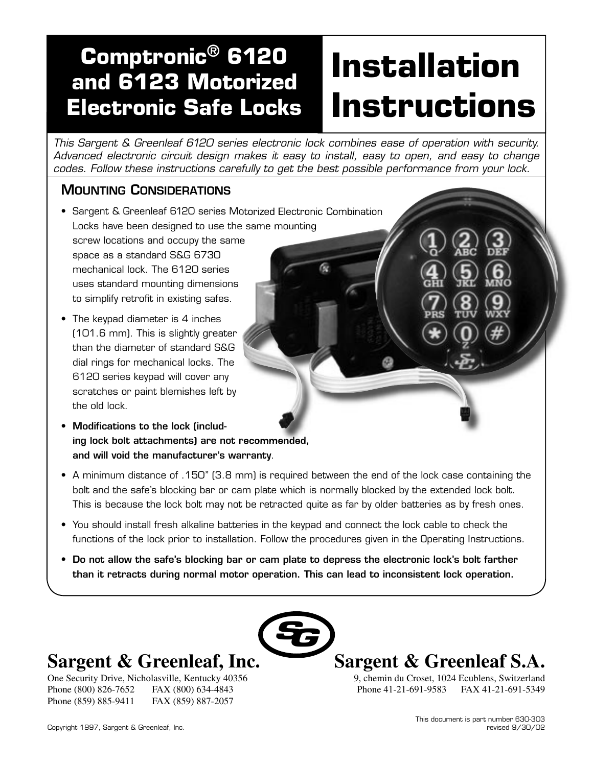# **Electronic Safe Locks Comptronic® 6120 and 6123 Motorized**

# **Installation Instructions**

This Sargent & Greenleaf 6120 series electronic lock combines ease of operation with security. Advanced electronic circuit design makes it easy to install, easy to open, and easy to change codes. Follow these instructions carefully to get the best possible performance from your lock.

# MOUNTING CONSIDERATIONS

- Sargent & Greenleaf 6120 series Motorized Electronic Combination Locks have been designed to use the same mounting screw locations and occupy the same space as a standard S&G 6730 mechanical lock. The 6120 series uses standard mounting dimensions to simplify retrofit in existing safes.
- The keypad diameter is 4 inches (101.6 mm). This is slightly greater than the diameter of standard S&G dial rings for mechanical locks. The 6120 series keypad will cover any scratches or paint blemishes left by the old lock.
- Modifications to the lock (including lock bolt attachments) are not recommended, and will void the manufacturer's warranty.
- A minimum distance of .150" (3.8 mm) is required between the end of the lock case containing the bolt and the safe's blocking bar or cam plate which is normally blocked by the extended lock bolt. This is because the lock bolt may not be retracted quite as far by older batteries as by fresh ones.
- You should install fresh alkaline batteries in the keypad and connect the lock cable to check the functions of the lock prior to installation. Follow the procedures given in the Operating Instructions.
- Do not allow the safe's blocking bar or cam plate to depress the electronic lock's bolt farther than it retracts during normal motor operation. This can lead to inconsistent lock operation.



# **Sargent & Greenleaf, Inc.**

One Security Drive, Nicholasville, Kentucky 40356 Phone (800) 826-7652 FAX (800) 634-4843 Phone (859) 885-9411 FAX (859) 887-2057



9, chemin du Croset, 1024 Ecublens, Switzerland Phone 41-21-691-9583 FAX 41-21-691-5349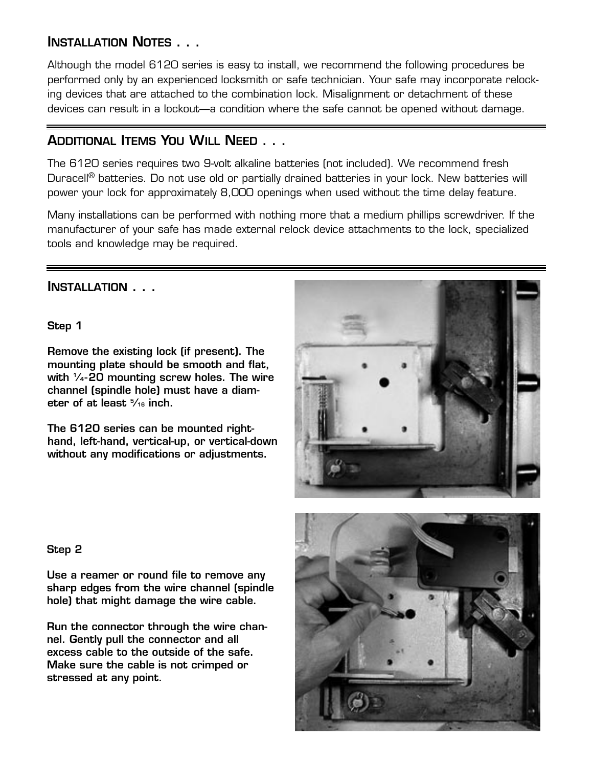# INSTALLATION NOTES . . .

Although the model 6120 series is easy to install, we recommend the following procedures be performed only by an experienced locksmith or safe technician. Your safe may incorporate relocking devices that are attached to the combination lock. Misalignment or detachment of these devices can result in a lockout—a condition where the safe cannot be opened without damage.

# ADDITIONAL ITEMS YOU WILL NEED . . .

The 6120 series requires two 9-volt alkaline batteries (not included). We recommend fresh Duracell<sup>®</sup> batteries. Do not use old or partially drained batteries in your lock. New batteries will power your lock for approximately 8,000 openings when used without the time delay feature.

Many installations can be performed with nothing more that a medium phillips screwdriver. If the manufacturer of your safe has made external relock device attachments to the lock, specialized tools and knowledge may be required.

## INSTALLATION . . .

Step 1

Remove the existing lock (if present). The mounting plate should be smooth and flat, with  $\frac{1}{4}$ -20 mounting screw holes. The wire channel (spindle hole) must have a diameter of at least 5 ⁄16 inch.

The 6120 series can be mounted righthand, left-hand, vertical-up, or vertical-down without any modifications or adjustments.



#### Step 2

Use a reamer or round file to remove any sharp edges from the wire channel (spindle hole) that might damage the wire cable.

Run the connector through the wire channel. Gently pull the connector and all excess cable to the outside of the safe. Make sure the cable is not crimped or stressed at any point.

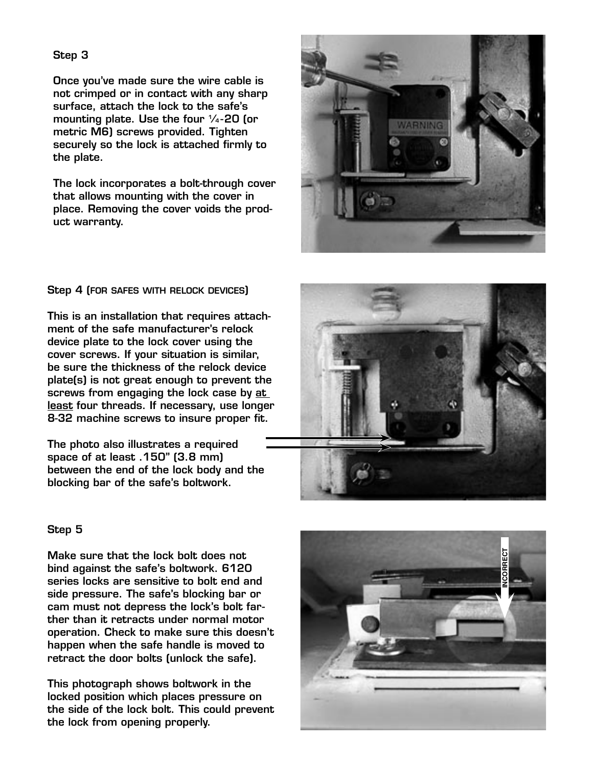Once you've made sure the wire cable is not crimped or in contact with any sharp surface, attach the lock to the safe's mounting plate. Use the four  $\frac{1}{4}$ -20 (or metric M6) screws provided. Tighten securely so the lock is attached firmly to the plate.

The lock incorporates a bolt-through cover that allows mounting with the cover in place. Removing the cover voids the prod uct warranty.



#### Step 4 (FOR SAFES WITH RELOCK DEVICES )

This is an installation that requires attach ment of the safe manufacturer's relock device plate to the lock cover using the cover screws. If your situation is similar, be sure the thickness of the relock device plate(s) is not great enough to prevent the screws from engaging the lock case by at least four threads. If necessary, use longer 8-32 machine screws to insure proper fit.

The photo also illustrates a required space of at least .150" (3.8 mm) between the end of the lock body and the blocking bar of the safe's boltwork.



#### Step 5

Make sure that the lock bolt does not bind against the safe's boltwork. 6120 series locks are sensitive to bolt end and side pressure. The safe's blocking bar or cam must not depress the lock's bolt far ther than it retracts under normal motor operation. Check to make sure this doesn't happen when the safe handle is moved to retract the door bolts (unlock the safe).

This photograph shows boltwork in the locked position which places pressure on the side of the lock bolt. This could prevent the lock from opening properly.

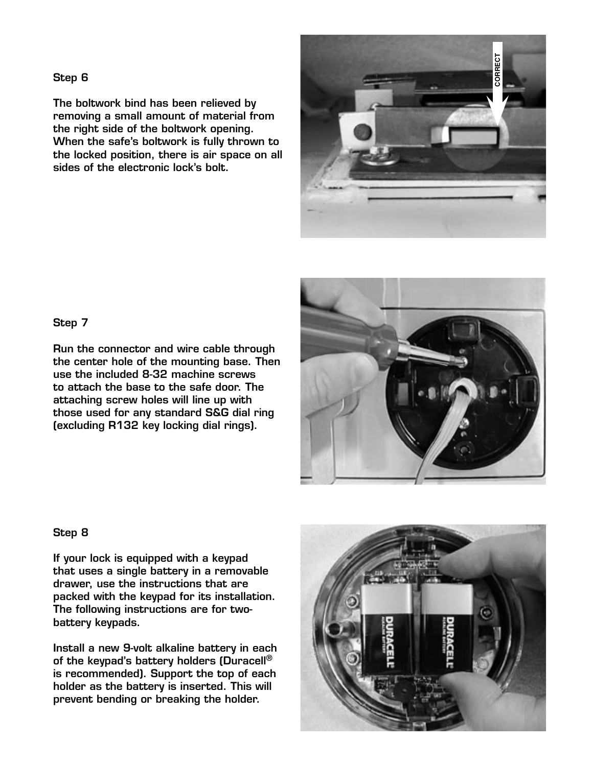The boltwork bind has been relieved by removing a small amount of material from the right side of the boltwork opening. When the safe's boltwork is fully thrown to the locked position, there is air space on all sides of the electronic lock's bolt.



#### Step 7

Run the connector and wire cable through the center hole of the mounting base. Then use the included 8-32 machine screws to attach the base to the safe door. The attaching screw holes will line up with those used for any standard S&G dial ring (excluding R132 key locking dial rings).



#### Step 8

If your lock is equipped with a keypad that uses a single battery in a removable drawer, use the instructions that are packed with the keypad for its installation. The following instructions are for twobattery keypads.

Install a new 9-volt alkaline battery in each of the keypad's battery holders (Duracell® is recommended). Support the top of each holder as the battery is inserted. This will prevent bending or breaking the holder.

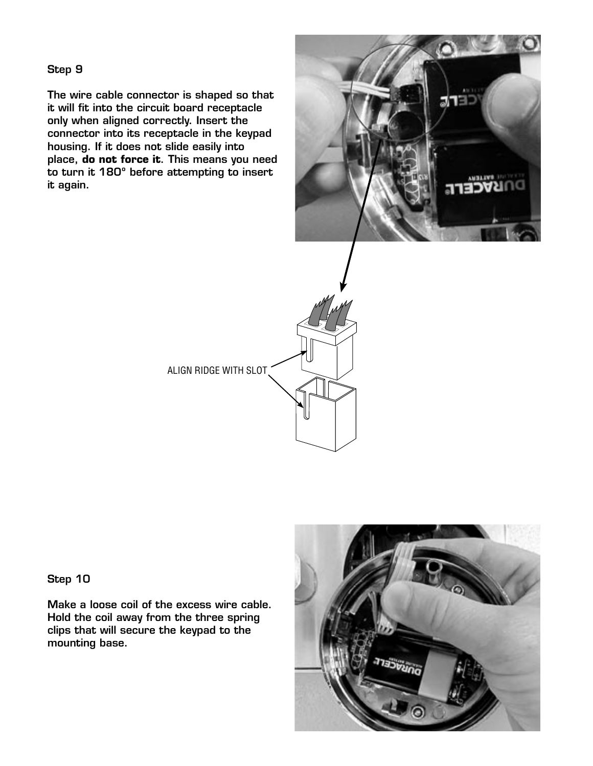The wire cable connector is shaped so that it will fit into the circuit board receptacle only when aligned correctly. Insert the connector into its receptacle in the keypad housing. If it does not slide easily into place, **do not force it**. This means you need to turn it 180º before attempting to insert it again.





Step 10

Make a loose coil of the excess wire cable. Hold the coil away from the three spring clips that will secure the keypad to the mounting base.